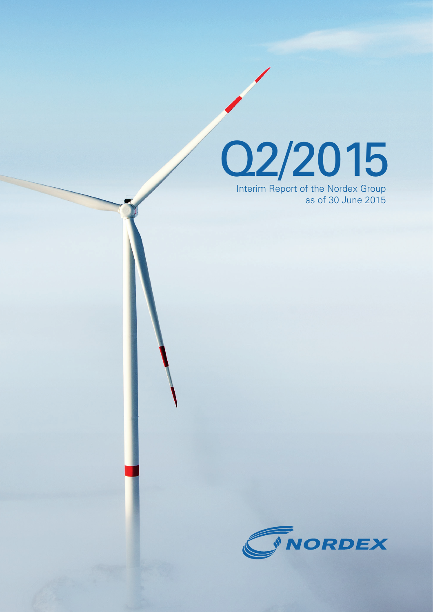

Interim Report of the Nordex Group as of 30 June 2015

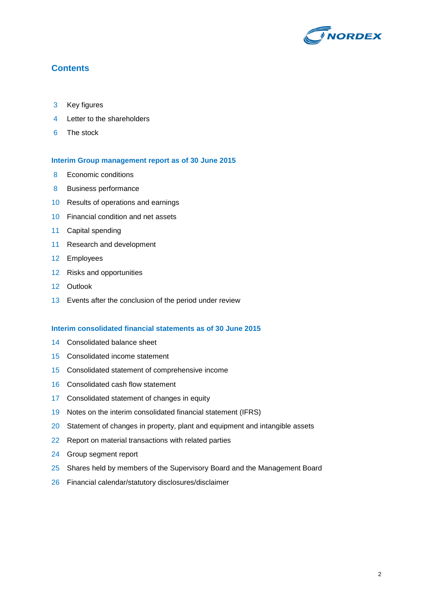

# **Contents**

- Key figures
- Letter to the shareholders
- The stock

#### **Interim Group management report as of 30 June 2015**

- Economic conditions
- Business performance
- Results of operations and earnings
- Financial condition and net assets
- Capital spending
- Research and development
- Employees
- Risks and opportunities
- Outlook
- Events after the conclusion of the period under review

#### **Interim consolidated financial statements as of 30 June 2015**

- Consolidated balance sheet
- Consolidated income statement
- Consolidated statement of comprehensive income
- Consolidated cash flow statement
- Consolidated statement of changes in equity
- Notes on the interim consolidated financial statement (IFRS)
- 20 Statement of changes in property, plant and equipment and intangible assets
- Report on material transactions with related parties
- Group segment report
- 25 Shares held by members of the Supervisory Board and the Management Board
- Financial calendar/statutory disclosures/disclaimer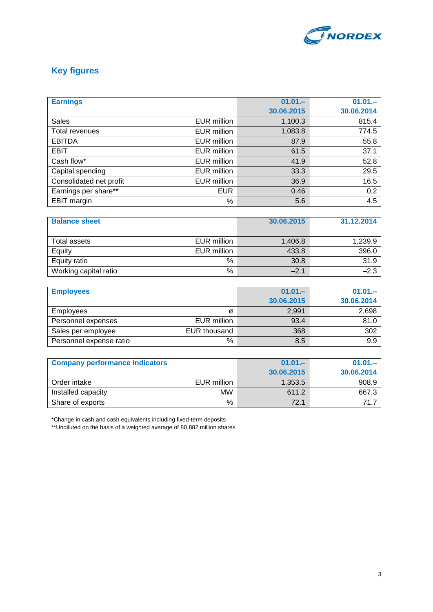

# **Key figures**

| <b>Earnings</b>         |                    | $01.01 -$  | $01.01 -$  |
|-------------------------|--------------------|------------|------------|
|                         |                    | 30.06.2015 | 30.06.2014 |
| <b>Sales</b>            | EUR million        | 1,100.3    | 815.4      |
| Total revenues          | EUR million        | 1,083.8    | 774.5      |
| <b>EBITDA</b>           | EUR million        | 87.9       | 55.8       |
| <b>EBIT</b>             | EUR million        | 61.5       | 37.1       |
| Cash flow*              | <b>EUR million</b> | 41.9       | 52.8       |
| Capital spending        | EUR million        | 33.3       | 29.5       |
| Consolidated net profit | EUR million        | 36.9       | 16.5       |
| Earnings per share**    | <b>EUR</b>         | 0.46       | 0.2        |
| EBIT margin             | %                  | 5.6        | 4.5        |

| <b>Balance sheet</b>  |             | 30.06.2015 | 31.12.2014 |
|-----------------------|-------------|------------|------------|
|                       |             |            |            |
| Total assets          | EUR million | 1,406.8    | 1,239.9    |
| Equity                | EUR million | 433.8      | 396.0      |
| Equity ratio          | %           | 30.8       | 31.9       |
| Working capital ratio | %           | $-2.1$     | $-2.3$     |

| <b>Employees</b>        |              | $01.01 -$  | $01.01 -$  |
|-------------------------|--------------|------------|------------|
|                         |              | 30.06.2015 | 30.06.2014 |
| <b>Employees</b>        | Ø            | 2,991      | 2,698      |
| Personnel expenses      | EUR million  | 93.4       | 81.0       |
| Sales per employee      | EUR thousand | 368        | 302        |
| Personnel expense ratio | %            | 8.5        | 9.9        |

| <b>Company performance indicators</b> |             | $01.01 -$  | $01.01 -$  |
|---------------------------------------|-------------|------------|------------|
|                                       |             | 30.06.2015 | 30.06.2014 |
| Order intake                          | EUR million | 1,353.5    | 908.9      |
| Installed capacity                    | <b>MW</b>   | 611.2      | 667.3      |
| Share of exports                      | %           | 72.1       | 71         |

\*Change in cash and cash equivalents including fixed-term deposits

\*\*Undiluted on the basis of a weighted average of 80.882 million shares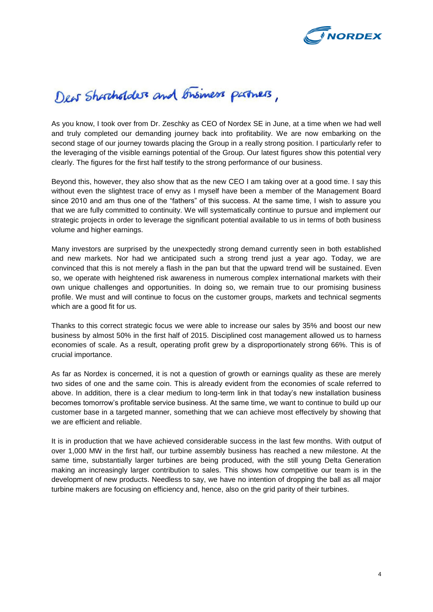

# Dew Shortholders and Brisiness partners,

As you know, I took over from Dr. Zeschky as CEO of Nordex SE in June, at a time when we had well and truly completed our demanding journey back into profitability. We are now embarking on the second stage of our journey towards placing the Group in a really strong position. I particularly refer to the leveraging of the visible earnings potential of the Group. Our latest figures show this potential very clearly. The figures for the first half testify to the strong performance of our business.

Beyond this, however, they also show that as the new CEO I am taking over at a good time. I say this without even the slightest trace of envy as I myself have been a member of the Management Board since 2010 and am thus one of the "fathers" of this success. At the same time, I wish to assure you that we are fully committed to continuity. We will systematically continue to pursue and implement our strategic projects in order to leverage the significant potential available to us in terms of both business volume and higher earnings.

Many investors are surprised by the unexpectedly strong demand currently seen in both established and new markets. Nor had we anticipated such a strong trend just a year ago. Today, we are convinced that this is not merely a flash in the pan but that the upward trend will be sustained. Even so, we operate with heightened risk awareness in numerous complex international markets with their own unique challenges and opportunities. In doing so, we remain true to our promising business profile. We must and will continue to focus on the customer groups, markets and technical segments which are a good fit for us.

Thanks to this correct strategic focus we were able to increase our sales by 35% and boost our new business by almost 50% in the first half of 2015. Disciplined cost management allowed us to harness economies of scale. As a result, operating profit grew by a disproportionately strong 66%. This is of crucial importance.

As far as Nordex is concerned, it is not a question of growth or earnings quality as these are merely two sides of one and the same coin. This is already evident from the economies of scale referred to above. In addition, there is a clear medium to long-term link in that today's new installation business becomes tomorrow's profitable service business. At the same time, we want to continue to build up our customer base in a targeted manner, something that we can achieve most effectively by showing that we are efficient and reliable.

It is in production that we have achieved considerable success in the last few months. With output of over 1,000 MW in the first half, our turbine assembly business has reached a new milestone. At the same time, substantially larger turbines are being produced, with the still young Delta Generation making an increasingly larger contribution to sales. This shows how competitive our team is in the development of new products. Needless to say, we have no intention of dropping the ball as all major turbine makers are focusing on efficiency and, hence, also on the grid parity of their turbines.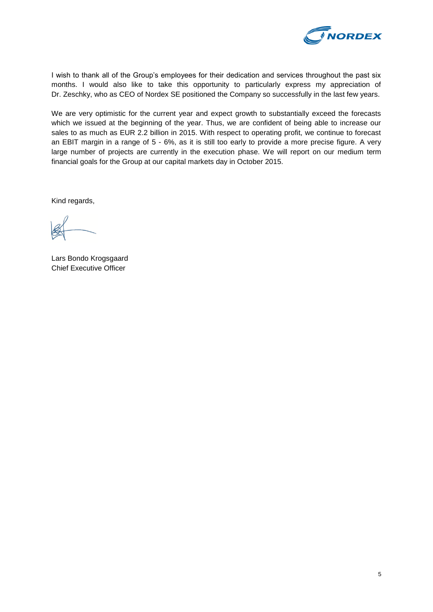

I wish to thank all of the Group's employees for their dedication and services throughout the past six months. I would also like to take this opportunity to particularly express my appreciation of Dr. Zeschky, who as CEO of Nordex SE positioned the Company so successfully in the last few years.

We are very optimistic for the current year and expect growth to substantially exceed the forecasts which we issued at the beginning of the year. Thus, we are confident of being able to increase our sales to as much as EUR 2.2 billion in 2015. With respect to operating profit, we continue to forecast an EBIT margin in a range of 5 - 6%, as it is still too early to provide a more precise figure. A very large number of projects are currently in the execution phase. We will report on our medium term financial goals for the Group at our capital markets day in October 2015.

Kind regards,

Lars Bondo Krogsgaard Chief Executive Officer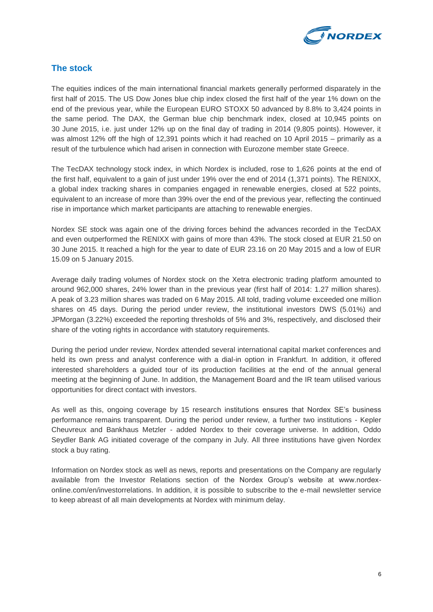

# **The stock**

The equities indices of the main international financial markets generally performed disparately in the first half of 2015. The US Dow Jones blue chip index closed the first half of the year 1% down on the end of the previous year, while the European EURO STOXX 50 advanced by 8.8% to 3,424 points in the same period. The DAX, the German blue chip benchmark index, closed at 10,945 points on 30 June 2015, i.e. just under 12% up on the final day of trading in 2014 (9,805 points). However, it was almost 12% off the high of 12,391 points which it had reached on 10 April 2015 – primarily as a result of the turbulence which had arisen in connection with Eurozone member state Greece.

The TecDAX technology stock index, in which Nordex is included, rose to 1,626 points at the end of the first half, equivalent to a gain of just under 19% over the end of 2014 (1,371 points). The RENIXX, a global index tracking shares in companies engaged in renewable energies, closed at 522 points, equivalent to an increase of more than 39% over the end of the previous year, reflecting the continued rise in importance which market participants are attaching to renewable energies.

Nordex SE stock was again one of the driving forces behind the advances recorded in the TecDAX and even outperformed the RENIXX with gains of more than 43%. The stock closed at EUR 21.50 on 30 June 2015. It reached a high for the year to date of EUR 23.16 on 20 May 2015 and a low of EUR 15.09 on 5 January 2015.

Average daily trading volumes of Nordex stock on the Xetra electronic trading platform amounted to around 962,000 shares, 24% lower than in the previous year (first half of 2014: 1.27 million shares). A peak of 3.23 million shares was traded on 6 May 2015. All told, trading volume exceeded one million shares on 45 days. During the period under review, the institutional investors DWS (5.01%) and JPMorgan (3.22%) exceeded the reporting thresholds of 5% and 3%, respectively, and disclosed their share of the voting rights in accordance with statutory requirements.

During the period under review, Nordex attended several international capital market conferences and held its own press and analyst conference with a dial-in option in Frankfurt. In addition, it offered interested shareholders a guided tour of its production facilities at the end of the annual general meeting at the beginning of June. In addition, the Management Board and the IR team utilised various opportunities for direct contact with investors.

As well as this, ongoing coverage by 15 research institutions ensures that Nordex SE's business performance remains transparent. During the period under review, a further two institutions - Kepler Cheuvreux and Bankhaus Metzler - added Nordex to their coverage universe. In addition, Oddo Seydler Bank AG initiated coverage of the company in July. All three institutions have given Nordex stock a buy rating.

Information on Nordex stock as well as news, reports and presentations on the Company are regularly available from the Investor Relations section of the Nordex Group's website at www.nordexonline.com/en/investorrelations. In addition, it is possible to subscribe to the e-mail newsletter service to keep abreast of all main developments at Nordex with minimum delay.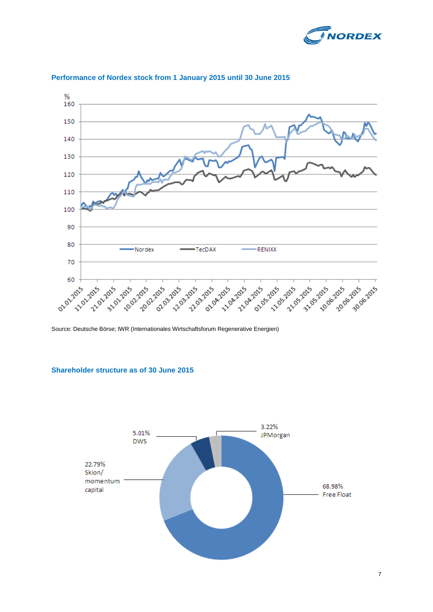



#### **Performance of Nordex stock from 1 January 2015 until 30 June 2015**

Source: Deutsche Börse; IWR (Internationales Wirtschaftsforum Regenerative Energien)

### **Shareholder structure as of 30 June 2015**

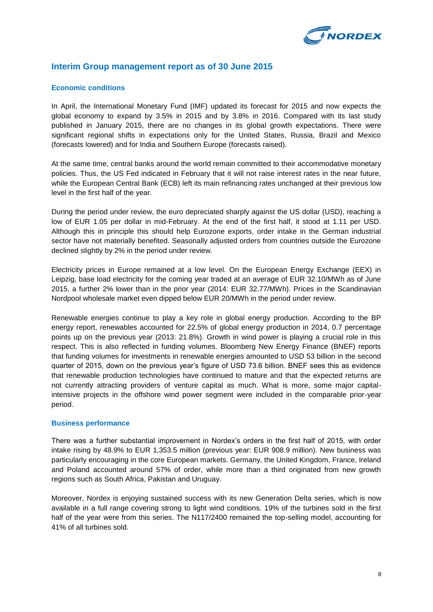

## **Interim Group management report as of 30 June 2015**

#### **Economic conditions**

In April, the International Monetary Fund (IMF) updated its forecast for 2015 and now expects the global economy to expand by 3.5% in 2015 and by 3.8% in 2016. Compared with its last study published in January 2015, there are no changes in its global growth expectations. There were significant regional shifts in expectations only for the United States, Russia, Brazil and Mexico (forecasts lowered) and for India and Southern Europe (forecasts raised).

At the same time, central banks around the world remain committed to their accommodative monetary policies. Thus, the US Fed indicated in February that it will not raise interest rates in the near future, while the European Central Bank (ECB) left its main refinancing rates unchanged at their previous low level in the first half of the year.

During the period under review, the euro depreciated sharply against the US dollar (USD), reaching a low of EUR 1.05 per dollar in mid-February. At the end of the first half, it stood at 1.11 per USD. Although this in principle this should help Eurozone exports, order intake in the German industrial sector have not materially benefited. Seasonally adjusted orders from countries outside the Eurozone declined slightly by 2% in the period under review.

Electricity prices in Europe remained at a low level. On the European Energy Exchange (EEX) in Leipzig, base load electricity for the coming year traded at an average of EUR 32.10/MWh as of June 2015, a further 2% lower than in the prior year (2014: EUR 32.77/MWh). Prices in the Scandinavian Nordpool wholesale market even dipped below EUR 20/MWh in the period under review.

Renewable energies continue to play a key role in global energy production. According to the BP energy report, renewables accounted for 22.5% of global energy production in 2014, 0.7 percentage points up on the previous year (2013: 21.8%). Growth in wind power is playing a crucial role in this respect. This is also reflected in funding volumes. Bloomberg New Energy Finance (BNEF) reports that funding volumes for investments in renewable energies amounted to USD 53 billion in the second quarter of 2015, down on the previous year's figure of USD 73.6 billion. BNEF sees this as evidence that renewable production technologies have continued to mature and that the expected returns are not currently attracting providers of venture capital as much. What is more, some major capitalintensive projects in the offshore wind power segment were included in the comparable prior-year period.

#### **Business performance**

There was a further substantial improvement in Nordex's orders in the first half of 2015, with order intake rising by 48.9% to EUR 1,353.5 million (previous year: EUR 908.9 million). New business was particularly encouraging in the core European markets. Germany, the United Kingdom, France, Ireland and Poland accounted around 57% of order, while more than a third originated from new growth regions such as South Africa, Pakistan and Uruguay.

Moreover, Nordex is enjoying sustained success with its new Generation Delta series, which is now available in a full range covering strong to light wind conditions. 19% of the turbines sold in the first half of the year were from this series. The N117/2400 remained the top-selling model, accounting for 41% of all turbines sold.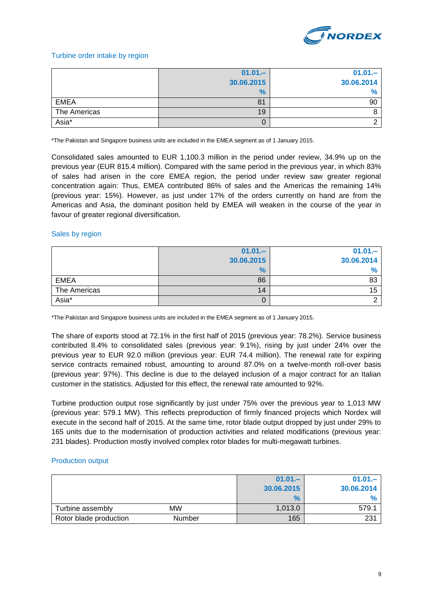

#### Turbine order intake by region

|              | $01.01 -$     | $01.01 -$     |
|--------------|---------------|---------------|
|              | 30.06.2015    | 30.06.2014    |
|              | $\frac{9}{6}$ | $\frac{9}{6}$ |
| <b>EMEA</b>  | 81            | 90            |
| The Americas | 19            |               |
| Asia*        | O             |               |

\*The Pakistan and Singapore business units are included in the EMEA segment as of 1 January 2015.

Consolidated sales amounted to EUR 1,100.3 million in the period under review, 34.9% up on the previous year (EUR 815.4 million). Compared with the same period in the previous year, in which 83% of sales had arisen in the core EMEA region, the period under review saw greater regional concentration again: Thus, EMEA contributed 86% of sales and the Americas the remaining 14% (previous year: 15%). However, as just under 17% of the orders currently on hand are from the Americas and Asia, the dominant position held by EMEA will weaken in the course of the year in favour of greater regional diversification.

#### Sales by region

|              | $01.01 -$     | $01.01 -$  |
|--------------|---------------|------------|
|              | 30.06.2015    | 30.06.2014 |
|              | $\frac{9}{6}$ | 0/<br>7a   |
| <b>EMEA</b>  | 86            | 83         |
| The Americas | 14            | 15         |
| Asia*        | U             |            |

\*The Pakistan and Singapore business units are included in the EMEA segment as of 1 January 2015.

The share of exports stood at 72.1% in the first half of 2015 (previous year: 78.2%). Service business contributed 8.4% to consolidated sales (previous year: 9.1%), rising by just under 24% over the previous year to EUR 92.0 million (previous year: EUR 74.4 million). The renewal rate for expiring service contracts remained robust, amounting to around 87.0% on a twelve-month roll-over basis (previous year: 97%). This decline is due to the delayed inclusion of a major contract for an Italian customer in the statistics. Adjusted for this effect, the renewal rate amounted to 92%.

Turbine production output rose significantly by just under 75% over the previous year to 1,013 MW (previous year: 579.1 MW). This reflects preproduction of firmly financed projects which Nordex will execute in the second half of 2015. At the same time, rotor blade output dropped by just under 29% to 165 units due to the modernisation of production activities and related modifications (previous year: 231 blades). Production mostly involved complex rotor blades for multi-megawatt turbines.

#### Production output

|                        |               | $01.01 -$  | $01.01 -$  |
|------------------------|---------------|------------|------------|
|                        |               | 30.06.2015 | 30.06.2014 |
|                        |               | $\%$       |            |
| Turbine assembly       | MW            | 1,013.0    | 579.1      |
| Rotor blade production | <b>Number</b> | 165        | 231        |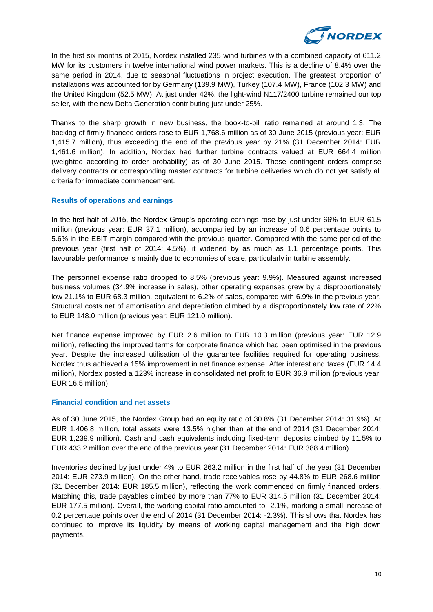

In the first six months of 2015, Nordex installed 235 wind turbines with a combined capacity of 611.2 MW for its customers in twelve international wind power markets. This is a decline of 8.4% over the same period in 2014, due to seasonal fluctuations in project execution. The greatest proportion of installations was accounted for by Germany (139.9 MW), Turkey (107.4 MW), France (102.3 MW) and the United Kingdom (52.5 MW). At just under 42%, the light-wind N117/2400 turbine remained our top seller, with the new Delta Generation contributing just under 25%.

Thanks to the sharp growth in new business, the book-to-bill ratio remained at around 1.3. The backlog of firmly financed orders rose to EUR 1,768.6 million as of 30 June 2015 (previous year: EUR 1,415.7 million), thus exceeding the end of the previous year by 21% (31 December 2014: EUR 1,461.6 million). In addition, Nordex had further turbine contracts valued at EUR 664.4 million (weighted according to order probability) as of 30 June 2015. These contingent orders comprise delivery contracts or corresponding master contracts for turbine deliveries which do not yet satisfy all criteria for immediate commencement.

#### **Results of operations and earnings**

In the first half of 2015, the Nordex Group's operating earnings rose by just under 66% to EUR 61.5 million (previous year: EUR 37.1 million), accompanied by an increase of 0.6 percentage points to 5.6% in the EBIT margin compared with the previous quarter. Compared with the same period of the previous year (first half of 2014: 4.5%), it widened by as much as 1.1 percentage points. This favourable performance is mainly due to economies of scale, particularly in turbine assembly.

The personnel expense ratio dropped to 8.5% (previous year: 9.9%). Measured against increased business volumes (34.9% increase in sales), other operating expenses grew by a disproportionately low 21.1% to EUR 68.3 million, equivalent to 6.2% of sales, compared with 6.9% in the previous year. Structural costs net of amortisation and depreciation climbed by a disproportionately low rate of 22% to EUR 148.0 million (previous year: EUR 121.0 million).

Net finance expense improved by EUR 2.6 million to EUR 10.3 million (previous year: EUR 12.9 million), reflecting the improved terms for corporate finance which had been optimised in the previous year. Despite the increased utilisation of the guarantee facilities required for operating business, Nordex thus achieved a 15% improvement in net finance expense. After interest and taxes (EUR 14.4 million), Nordex posted a 123% increase in consolidated net profit to EUR 36.9 million (previous year: EUR 16.5 million).

#### **Financial condition and net assets**

As of 30 June 2015, the Nordex Group had an equity ratio of 30.8% (31 December 2014: 31.9%). At EUR 1,406.8 million, total assets were 13.5% higher than at the end of 2014 (31 December 2014: EUR 1,239.9 million). Cash and cash equivalents including fixed-term deposits climbed by 11.5% to EUR 433.2 million over the end of the previous year (31 December 2014: EUR 388.4 million).

Inventories declined by just under 4% to EUR 263.2 million in the first half of the year (31 December 2014: EUR 273.9 million). On the other hand, trade receivables rose by 44.8% to EUR 268.6 million (31 December 2014: EUR 185.5 million), reflecting the work commenced on firmly financed orders. Matching this, trade payables climbed by more than 77% to EUR 314.5 million (31 December 2014: EUR 177.5 million). Overall, the working capital ratio amounted to -2.1%, marking a small increase of 0.2 percentage points over the end of 2014 (31 December 2014: -2.3%). This shows that Nordex has continued to improve its liquidity by means of working capital management and the high down payments.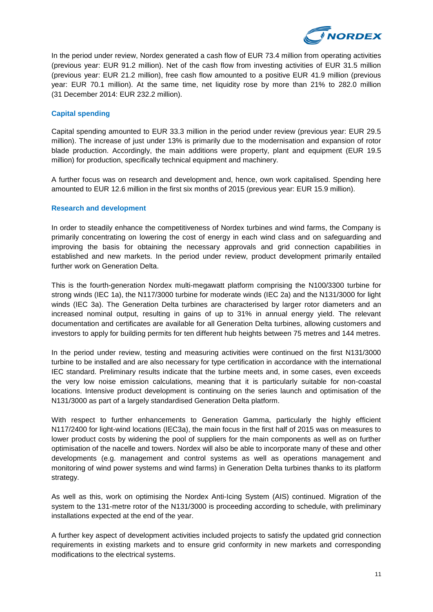

In the period under review, Nordex generated a cash flow of EUR 73.4 million from operating activities (previous year: EUR 91.2 million). Net of the cash flow from investing activities of EUR 31.5 million (previous year: EUR 21.2 million), free cash flow amounted to a positive EUR 41.9 million (previous year: EUR 70.1 million). At the same time, net liquidity rose by more than 21% to 282.0 million (31 December 2014: EUR 232.2 million).

#### **Capital spending**

Capital spending amounted to EUR 33.3 million in the period under review (previous year: EUR 29.5 million). The increase of just under 13% is primarily due to the modernisation and expansion of rotor blade production. Accordingly, the main additions were property, plant and equipment (EUR 19.5 million) for production, specifically technical equipment and machinery.

A further focus was on research and development and, hence, own work capitalised. Spending here amounted to EUR 12.6 million in the first six months of 2015 (previous year: EUR 15.9 million).

#### **Research and development**

In order to steadily enhance the competitiveness of Nordex turbines and wind farms, the Company is primarily concentrating on lowering the cost of energy in each wind class and on safeguarding and improving the basis for obtaining the necessary approvals and grid connection capabilities in established and new markets. In the period under review, product development primarily entailed further work on Generation Delta.

This is the fourth-generation Nordex multi-megawatt platform comprising the N100/3300 turbine for strong winds (IEC 1a), the N117/3000 turbine for moderate winds (IEC 2a) and the N131/3000 for light winds (IEC 3a). The Generation Delta turbines are characterised by larger rotor diameters and an increased nominal output, resulting in gains of up to 31% in annual energy yield. The relevant documentation and certificates are available for all Generation Delta turbines, allowing customers and investors to apply for building permits for ten different hub heights between 75 metres and 144 metres.

In the period under review, testing and measuring activities were continued on the first N131/3000 turbine to be installed and are also necessary for type certification in accordance with the international IEC standard. Preliminary results indicate that the turbine meets and, in some cases, even exceeds the very low noise emission calculations, meaning that it is particularly suitable for non-coastal locations. Intensive product development is continuing on the series launch and optimisation of the N131/3000 as part of a largely standardised Generation Delta platform.

With respect to further enhancements to Generation Gamma, particularly the highly efficient N117/2400 for light-wind locations (IEC3a), the main focus in the first half of 2015 was on measures to lower product costs by widening the pool of suppliers for the main components as well as on further optimisation of the nacelle and towers. Nordex will also be able to incorporate many of these and other developments (e.g. management and control systems as well as operations management and monitoring of wind power systems and wind farms) in Generation Delta turbines thanks to its platform strategy.

As well as this, work on optimising the Nordex Anti-Icing System (AIS) continued. Migration of the system to the 131-metre rotor of the N131/3000 is proceeding according to schedule, with preliminary installations expected at the end of the year.

A further key aspect of development activities included projects to satisfy the updated grid connection requirements in existing markets and to ensure grid conformity in new markets and corresponding modifications to the electrical systems.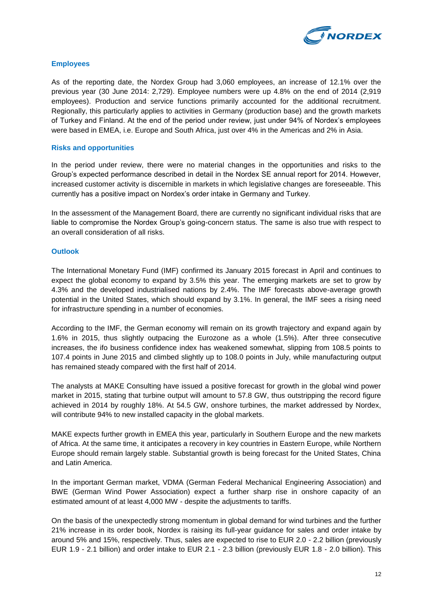

#### **Employees**

As of the reporting date, the Nordex Group had 3,060 employees, an increase of 12.1% over the previous year (30 June 2014: 2,729). Employee numbers were up 4.8% on the end of 2014 (2,919 employees). Production and service functions primarily accounted for the additional recruitment. Regionally, this particularly applies to activities in Germany (production base) and the growth markets of Turkey and Finland. At the end of the period under review, just under 94% of Nordex's employees were based in EMEA, i.e. Europe and South Africa, just over 4% in the Americas and 2% in Asia.

#### **Risks and opportunities**

In the period under review, there were no material changes in the opportunities and risks to the Group's expected performance described in detail in the Nordex SE annual report for 2014. However, increased customer activity is discernible in markets in which legislative changes are foreseeable. This currently has a positive impact on Nordex's order intake in Germany and Turkey.

In the assessment of the Management Board, there are currently no significant individual risks that are liable to compromise the Nordex Group's going-concern status. The same is also true with respect to an overall consideration of all risks.

#### **Outlook**

The International Monetary Fund (IMF) confirmed its January 2015 forecast in April and continues to expect the global economy to expand by 3.5% this year. The emerging markets are set to grow by 4.3% and the developed industrialised nations by 2.4%. The IMF forecasts above-average growth potential in the United States, which should expand by 3.1%. In general, the IMF sees a rising need for infrastructure spending in a number of economies.

According to the IMF, the German economy will remain on its growth trajectory and expand again by 1.6% in 2015, thus slightly outpacing the Eurozone as a whole (1.5%). After three consecutive increases, the ifo business confidence index has weakened somewhat, slipping from 108.5 points to 107.4 points in June 2015 and climbed slightly up to 108.0 points in July, while manufacturing output has remained steady compared with the first half of 2014.

The analysts at MAKE Consulting have issued a positive forecast for growth in the global wind power market in 2015, stating that turbine output will amount to 57.8 GW, thus outstripping the record figure achieved in 2014 by roughly 18%. At 54.5 GW, onshore turbines, the market addressed by Nordex, will contribute 94% to new installed capacity in the global markets.

MAKE expects further growth in EMEA this year, particularly in Southern Europe and the new markets of Africa. At the same time, it anticipates a recovery in key countries in Eastern Europe, while Northern Europe should remain largely stable. Substantial growth is being forecast for the United States, China and Latin America.

In the important German market, VDMA (German Federal Mechanical Engineering Association) and BWE (German Wind Power Association) expect a further sharp rise in onshore capacity of an estimated amount of at least 4,000 MW - despite the adjustments to tariffs.

On the basis of the unexpectedly strong momentum in global demand for wind turbines and the further 21% increase in its order book, Nordex is raising its full-year guidance for sales and order intake by around 5% and 15%, respectively. Thus, sales are expected to rise to EUR 2.0 - 2.2 billion (previously EUR 1.9 - 2.1 billion) and order intake to EUR 2.1 - 2.3 billion (previously EUR 1.8 - 2.0 billion). This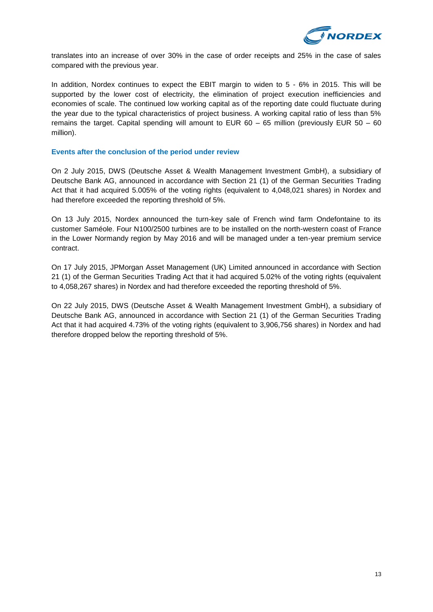

translates into an increase of over 30% in the case of order receipts and 25% in the case of sales compared with the previous year.

In addition, Nordex continues to expect the EBIT margin to widen to 5 - 6% in 2015. This will be supported by the lower cost of electricity, the elimination of project execution inefficiencies and economies of scale. The continued low working capital as of the reporting date could fluctuate during the year due to the typical characteristics of project business. A working capital ratio of less than 5% remains the target. Capital spending will amount to EUR 60 – 65 million (previously EUR 50 – 60 million).

#### **Events after the conclusion of the period under review**

On 2 July 2015, DWS (Deutsche Asset & Wealth Management Investment GmbH), a subsidiary of Deutsche Bank AG, announced in accordance with Section 21 (1) of the German Securities Trading Act that it had acquired 5.005% of the voting rights (equivalent to 4,048,021 shares) in Nordex and had therefore exceeded the reporting threshold of 5%.

On 13 July 2015, Nordex announced the turn-key sale of French wind farm Ondefontaine to its customer Saméole. Four N100/2500 turbines are to be installed on the north-western coast of France in the Lower Normandy region by May 2016 and will be managed under a ten-year premium service contract.

On 17 July 2015, JPMorgan Asset Management (UK) Limited announced in accordance with Section 21 (1) of the German Securities Trading Act that it had acquired 5.02% of the voting rights (equivalent to 4,058,267 shares) in Nordex and had therefore exceeded the reporting threshold of 5%.

On 22 July 2015, DWS (Deutsche Asset & Wealth Management Investment GmbH), a subsidiary of Deutsche Bank AG, announced in accordance with Section 21 (1) of the German Securities Trading Act that it had acquired 4.73% of the voting rights (equivalent to 3,906,756 shares) in Nordex and had therefore dropped below the reporting threshold of 5%.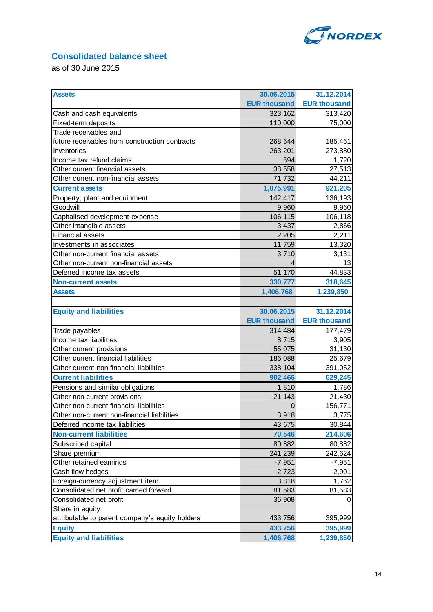

# **Consolidated balance sheet**

as of 30 June 2015

| <b>Assets</b>                                   | 30.06.2015          | 31.12.2014          |
|-------------------------------------------------|---------------------|---------------------|
|                                                 | <b>EUR thousand</b> | <b>EUR thousand</b> |
| Cash and cash equivalents                       | 323,162             | 313,420             |
| Fixed-term deposits                             | 110,000             | 75,000              |
| Trade receivables and                           |                     |                     |
| future receivables from construction contracts  | 268,644             | 185,461             |
| Inventories                                     | 263,201             | 273,880             |
| Income tax refund claims                        | 694                 | 1,720               |
| Other current financial assets                  | 38,558              | 27,513              |
| Other current non-financial assets              | 71,732              | 44,211              |
| <b>Current assets</b>                           | 1,075,991           | 921,205             |
| Property, plant and equipment                   | 142,417             | 136,193             |
| Goodwill                                        | 9,960               | 9,960               |
| Capitalised development expense                 | 106,115             | 106,118             |
| Other intangible assets                         | 3,437               | 2,866               |
| <b>Financial assets</b>                         | 2,205               | 2,211               |
| Investments in associates                       | 11,759              | 13,320              |
| Other non-current financial assets              | 3,710               | 3,131               |
| Other non-current non-financial assets          | 4                   | 13                  |
| Deferred income tax assets                      | 51,170              | 44,833              |
| <b>Non-current assets</b>                       | 330,777             | 318,645             |
| <b>Assets</b>                                   | 1,406,768           | 1,239,850           |
|                                                 |                     |                     |
| <b>Equity and liabilities</b>                   | 30.06.2015          | 31.12.2014          |
|                                                 | <b>EUR thousand</b> | <b>EUR thousand</b> |
| Trade payables                                  | 314,484             | 177,479             |
| Income tax liabilities                          | 8,715               | 3,905               |
| Other current provisions                        | 55,075              | 31,130              |
| Other current financial liabilities             | 186,088             | 25,679              |
| Other current non-financial liabilities         | 338,104             | 391,052             |
| <b>Current liabilities</b>                      | 902,466             | 629,245             |
| Pensions and similar obligations                | 1,810               | 1,786               |
| Other non-current provisions                    | 21,143              | 21,430              |
| Other non-current financial liabilities         | $\overline{0}$      | 156,771             |
| Other non-current non-financial liabilities     | 3,918               | 3,775               |
| Deferred income tax liabilities                 | 43,675              | 30,844              |
| <b>Non-current liabilities</b>                  | 70,546              | 214,606             |
| Subscribed capital                              | 80,882              | 80,882              |
| Share premium                                   | 241,239             | 242,624             |
| Other retained earnings                         | $-7,951$            | $-7,951$            |
| Cash flow hedges                                |                     | $-2,901$            |
|                                                 | $-2,723$            |                     |
| Foreign-currency adjustment item                | 3,818               | 1,762               |
| Consolidated net profit carried forward         | 81,583              | 81,583              |
| Consolidated net profit                         | 36,908              | 0                   |
| Share in equity                                 |                     |                     |
| attributable to parent company's equity holders | 433,756             | 395,999             |
| <b>Equity</b>                                   | 433,756             | 395,999             |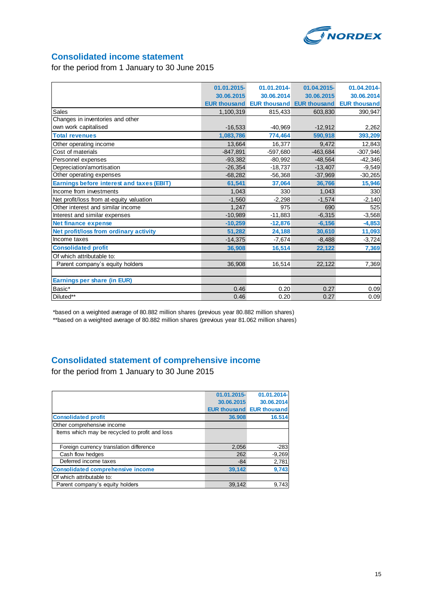

# **Consolidated income statement**

for the period from 1 January to 30 June 2015

|                                                  | 01.01.2015- | 01.01.2014- | 01.04.2015-                                   | 01.04.2014-         |
|--------------------------------------------------|-------------|-------------|-----------------------------------------------|---------------------|
|                                                  | 30.06.2015  | 30.06.2014  | 30.06.2015                                    | 30.06.2014          |
|                                                  |             |             | <b>EUR thousand EUR thousand EUR thousand</b> | <b>EUR thousand</b> |
| Sales                                            | 1,100,319   | 815,433     | 603,830                                       | 390,947             |
| Changes in inventories and other                 |             |             |                                               |                     |
| own work capitalised                             | $-16,533$   | $-40,969$   | $-12,912$                                     | 2,262               |
| <b>Total revenues</b>                            | 1.083.786   | 774,464     | 590.918                                       | 393,209             |
| Other operating income                           | 13,664      | 16,377      | 9.472                                         | 12,843              |
| Cost of materials                                | $-847,891$  | $-597,680$  | $-463,684$                                    | $-307,946$          |
| Personnel expenses                               | $-93,382$   | $-80,992$   | $-48,564$                                     | $-42,346$           |
| Depreciation/amortisation                        | $-26,354$   | $-18,737$   | $-13,407$                                     | $-9,549$            |
| Other operating expenses                         | $-68,282$   | $-56,368$   | $-37,969$                                     | $-30,265$           |
| <b>Earnings before interest and taxes (EBIT)</b> | 61,541      | 37,064      | 36.766                                        | 15,946              |
| Income from investments                          | 1.043       | 330         | 1.043                                         | 330                 |
| Net profit/loss from at-equity valuation         | $-1,560$    | $-2,298$    | $-1,574$                                      | $-2,140$            |
| Other interest and similar income                | 1,247       | 975         | 690                                           | 525                 |
| Interest and similar expenses                    | $-10,989$   | $-11,883$   | $-6,315$                                      | $-3,568$            |
| <b>Net finance expense</b>                       | $-10,259$   | $-12,876$   | $-6,156$                                      | $-4,853$            |
| Net profit/loss from ordinary activity           | 51,282      | 24.188      | 30.610                                        | 11,093              |
| Income taxes                                     | $-14,375$   | $-7,674$    | $-8,488$                                      | $-3,724$            |
| <b>Consolidated profit</b>                       | 36,908      | 16,514      | 22,122                                        | 7,369               |
| Of which attributable to:                        |             |             |                                               |                     |
| Parent company's equity holders                  | 36,908      | 16,514      | 22,122                                        | 7,369               |
|                                                  |             |             |                                               |                     |
| Earnings per share (in EUR)                      |             |             |                                               |                     |
| Basic*                                           | 0.46        | 0.20        | 0.27                                          | 0.09                |
| Diluted**                                        | 0.46        | 0.20        | 0.27                                          | 0.09                |

\*based on a weighted average of 80.882 million shares (previous year 80.882 million shares) \*\*based on a weighted average of 80.882 million shares (previous year 81.062 million shares)

# **Consolidated statement of comprehensive income**

for the period from 1 January to 30 June 2015

|                                                | 01.01.2015- | 01.01.2014-                      |
|------------------------------------------------|-------------|----------------------------------|
|                                                | 30.06.2015  | 30.06.2014                       |
|                                                |             | <b>EUR thousand EUR thousand</b> |
| <b>Consolidated profit</b>                     | 36.908      | 16.514                           |
| Other comprehensive income                     |             |                                  |
| Items which may be recycled to profit and loss |             |                                  |
|                                                |             |                                  |
| Foreign currency translation difference        | 2,056       | $-283$                           |
| Cash flow hedges                               | 262         | $-9,269$                         |
| Deferred income taxes                          | $-84$       | 2,781                            |
| <b>Consolidated comprehensive income</b>       | 39,142      | 9,743                            |
| Of which attributable to:                      |             |                                  |
| Parent company's equity holders                | 39.142      | 9.743                            |
|                                                |             |                                  |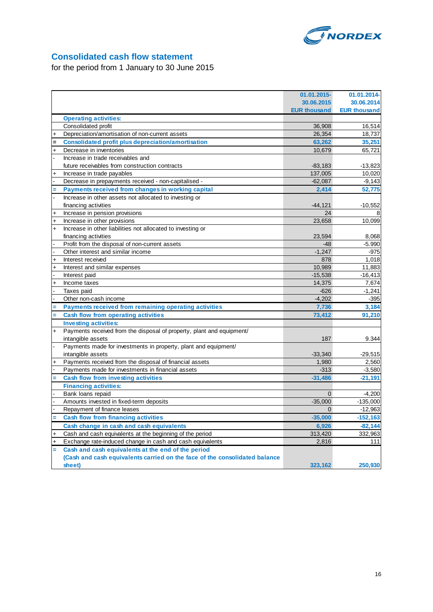

# **Consolidated cash flow statement**

for the period from 1 January to 30 June 2015

|           |                                                                            | 01.01.2015-         | 01.01.2014-         |
|-----------|----------------------------------------------------------------------------|---------------------|---------------------|
|           |                                                                            | 30.06.2015          | 30.06.2014          |
|           |                                                                            | <b>EUR thousand</b> | <b>EUR thousand</b> |
|           | <b>Operating activities:</b>                                               |                     |                     |
|           | Consolidated profit                                                        | 36,908              | 16,514              |
|           | Depreciation/amortisation of non-current assets                            | 26,354              | 18,737              |
|           | <b>Consolidated profit plus depreciation/amortisation</b>                  | 63,262              | 35,251              |
| $\ddot{}$ | Decrease in inventories                                                    | 10,679              | 65,721              |
|           | Increase in trade receivables and                                          |                     |                     |
|           | future receivables from construction contracts                             | $-83,183$           | $-13,823$           |
|           | Increase in trade payables                                                 | 137,005             | 10,020              |
|           | Decrease in prepayments received - non-capitalised -                       | $-62,087$           | $-9,143$            |
|           | Payments received from changes in working capital                          | 2,414               | 52,775              |
|           | Increase in other assets not allocated to investing or                     |                     |                     |
|           | financing activities                                                       | $-44, 121$          | $-10,552$           |
| $\ddot{}$ | Increase in pension provisions                                             | 24                  |                     |
| $\ddot{}$ | Increase in other provisions                                               | 23,658              | 10,099              |
| $\ddot{}$ | Increase in other liabilities not allocated to investing or                |                     |                     |
|           | financing activities                                                       | 23,594              | 8,068               |
|           | Profit from the disposal of non-current assets                             | $-48$               | $-5.990$            |
|           | Other interest and similar income                                          | $-1.247$            | $-975$              |
| $\ddot{}$ | Interest received                                                          | 878                 | 1,018               |
| $\ddot{}$ | Interest and similar expenses                                              | 10,989              | 11,883              |
|           | Interest paid                                                              | $-15,538$           | $-16,413$           |
| $\ddot{}$ | Income taxes                                                               | 14,375              | 7,674               |
|           | Taxes paid                                                                 | $-626$              | $-1,241$            |
|           | Other non-cash income                                                      | $-4,202$            | $-395$              |
|           | Payments received from remaining operating activities                      | 7,736               | 3,184               |
|           | <b>Cash flow from operating activities</b>                                 | 73,412              | 91,210              |
|           | <b>Investing activities:</b>                                               |                     |                     |
| $\ddot{}$ | Payments received from the disposal of property, plant and equipment/      |                     |                     |
|           | intangible assets                                                          | 187                 | 9.344               |
|           | Payments made for investments in property, plant and equipment/            |                     |                     |
|           | intangible assets                                                          | $-33,340$           | $-29,515$           |
|           | Payments received from the disposal of financial assets                    | 1,980               | 2,560               |
|           | Payments made for investments in financial assets                          | $-313$              | $-3,580$            |
|           | <b>Cash flow from investing activities</b>                                 | $-31,486$           | $-21,191$           |
|           | <b>Financing activities:</b>                                               |                     |                     |
|           | Bank loans repaid                                                          | $\Omega$            | $-4,200$            |
|           | Amounts invested in fixed-term deposits                                    | $-35,000$           | $-135,000$          |
|           | Repayment of finance leases                                                | $\Omega$            | $-12,963$           |
|           | <b>Cash flow from financing activities</b>                                 | $-35,000$           | $-152, 163$         |
|           | Cash change in cash and cash equivalents                                   | 6,926               | $-82,144$           |
|           | Cash and cash equivalents at the beginning of the period                   | 313,420             | 332,963             |
| $\ddot{}$ | Exchange rate-induced change in cash and cash equivalents                  | 2,816               | 111                 |
| Ξ         | Cash and cash equivalents at the end of the period                         |                     |                     |
|           | (Cash and cash equivalents carried on the face of the consolidated balance |                     |                     |
|           | sheet)                                                                     | 323,162             | 250,930             |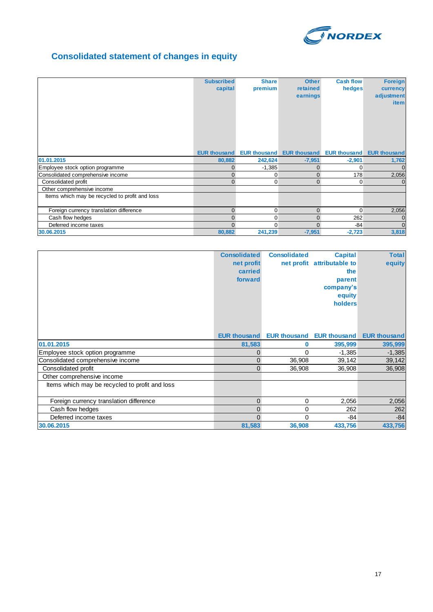

# **Consolidated statement of changes in equity**

|                                                | <b>Subscribed</b><br>capital | <b>Share</b><br>premium | <b>Other</b><br>retained<br>earnings                | <b>Cash flow</b><br>hedges | <b>Foreign</b><br>currency<br>adjustment<br><i>item</i> |
|------------------------------------------------|------------------------------|-------------------------|-----------------------------------------------------|----------------------------|---------------------------------------------------------|
|                                                | <b>EUR thousand</b>          |                         | EUR thousand EUR thousand EUR thousand EUR thousand |                            |                                                         |
| 01.01.2015                                     | 80,882                       | 242,624                 | $-7,951$                                            | $-2,901$                   | 1,762                                                   |
| Employee stock option programme                | $\Omega$                     | $-1,385$                | 0                                                   | $\Omega$                   | $\Omega$                                                |
| Consolidated comprehensive income              | $\Omega$                     | 0                       | O                                                   | 178                        | 2,056                                                   |
| Consolidated profit                            | $\Omega$                     | 0                       |                                                     | $\Omega$                   | $\overline{0}$                                          |
| Other comprehensive income                     |                              |                         |                                                     |                            |                                                         |
| Items which may be recycled to profit and loss |                              |                         |                                                     |                            |                                                         |
| Foreign currency translation difference        | $\Omega$                     | $\mathbf 0$             | $\Omega$                                            | $\Omega$                   | 2,056                                                   |
| Cash flow hedges                               | $\Omega$                     | $\mathbf 0$             | O                                                   | 262                        | $\overline{0}$                                          |
| Deferred income taxes                          | $\Omega$                     | 0                       | 0                                                   | -84                        | $\mathbf{0}$                                            |
| 30.06.2015                                     | 80,882                       | 241,239                 | $-7,951$                                            | $-2,723$                   | 3,818                                                   |

|                                                | <b>Consolidated</b> | <b>Consolidated</b> | <b>Capital</b>                                | <b>Total</b> |
|------------------------------------------------|---------------------|---------------------|-----------------------------------------------|--------------|
|                                                | net profit          |                     | net profit attributable to                    | equity       |
|                                                | carried             |                     | the                                           |              |
|                                                | forward             |                     | parent                                        |              |
|                                                |                     |                     | company's                                     |              |
|                                                |                     |                     | equity                                        |              |
|                                                |                     |                     | holders                                       |              |
|                                                |                     |                     |                                               |              |
|                                                |                     |                     |                                               |              |
|                                                |                     |                     |                                               |              |
|                                                | <b>EUR thousand</b> |                     | <b>EUR thousand EUR thousand EUR thousand</b> |              |
| 01.01.2015                                     | 81,583              | 0                   | 395,999                                       | 395,999      |
| Employee stock option programme                | 0                   | 0                   | $-1,385$                                      | $-1,385$     |
| Consolidated comprehensive income              | $\Omega$            | 36,908              | 39,142                                        | 39,142       |
| Consolidated profit                            | $\Omega$            | 36,908              | 36,908                                        | 36,908       |
| Other comprehensive income                     |                     |                     |                                               |              |
| Items which may be recycled to profit and loss |                     |                     |                                               |              |
|                                                |                     |                     |                                               |              |
| Foreign currency translation difference        | $\Omega$            | $\mathbf 0$         | 2,056                                         | 2,056        |
| Cash flow hedges                               | $\Omega$            | 0                   | 262                                           | 262          |
| Deferred income taxes                          | $\Omega$            | 0                   | -84                                           | $-84$        |
| 30.06.2015                                     | 81,583              | 36,908              | 433,756                                       | 433,756      |
|                                                |                     |                     |                                               |              |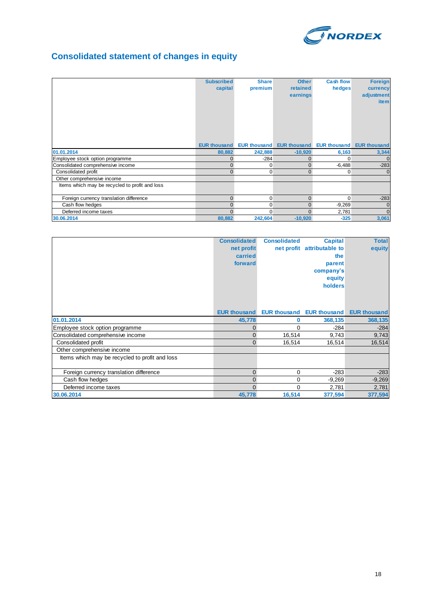

# **Consolidated statement of changes in equity**

|                                                | <b>Subscribed</b><br>capital | <b>Share</b><br>premium | <b>Other</b><br>retained<br>earnings | <b>Cash flow</b><br>hedges | <b>Foreign</b><br>currency<br>adjustment<br><b>item</b> |
|------------------------------------------------|------------------------------|-------------------------|--------------------------------------|----------------------------|---------------------------------------------------------|
|                                                | <b>EUR thousand</b>          | <b>EUR thousand</b>     | <b>EUR thousand</b>                  | <b>EUR thousand</b>        | <b>EUR thousand</b>                                     |
| 01.01.2014                                     | 80,882                       | 242,888                 | $-10,920$                            | 6,163                      | 3,344                                                   |
| Employee stock option programme                |                              | $-284$                  | 0                                    | $\Omega$                   | $\mathbf 0$                                             |
| Consolidated comprehensive income              | $\Omega$                     | 0                       | 0                                    | $-6,488$                   | $-283$                                                  |
| Consolidated profit                            | $\Omega$                     | 0                       | $\Omega$                             | 0                          | $\Omega$                                                |
| Other comprehensive income                     |                              |                         |                                      |                            |                                                         |
| Items which may be recycled to profit and loss |                              |                         |                                      |                            |                                                         |
| Foreign currency translation difference        | $\Omega$                     | 0                       | $\Omega$                             | $\Omega$                   | $-283$                                                  |
| Cash flow hedges                               | $\Omega$                     | 0                       | $\Omega$                             | $-9,269$                   | $\mathbf{0}$                                            |
| Deferred income taxes                          | $\Omega$                     | 0                       | 0                                    | 2,781                      | $\Omega$                                                |
| 30.06.2014                                     | 80,882                       | 242,604                 | $-10,920$                            | $-325$                     | 3,061                                                   |

|                                                | <b>Consolidated</b><br>net profit<br>carried<br>forward | <b>Consolidated</b> | <b>Capital</b><br>net profit attributable to<br>the<br>parent<br>company's<br>equity<br>holders | <b>Total</b><br>equity |
|------------------------------------------------|---------------------------------------------------------|---------------------|-------------------------------------------------------------------------------------------------|------------------------|
|                                                | <b>EUR thousand</b>                                     |                     | <b>EUR thousand EUR thousand</b>                                                                | <b>EUR thousand</b>    |
| 01.01.2014                                     | 45,778                                                  | 0                   | 368,135                                                                                         | 368,135                |
| Employee stock option programme                | $\Omega$                                                | 0                   | $-284$                                                                                          | $-284$                 |
| Consolidated comprehensive income              | 0                                                       | 16,514              | 9,743                                                                                           | 9,743                  |
| Consolidated profit                            | $\Omega$                                                | 16,514              | 16,514                                                                                          | 16,514                 |
| Other comprehensive income                     |                                                         |                     |                                                                                                 |                        |
| Items which may be recycled to profit and loss |                                                         |                     |                                                                                                 |                        |
| Foreign currency translation difference        | $\mathbf{0}$                                            | 0                   | $-283$                                                                                          | $-283$                 |
| Cash flow hedges                               | $\Omega$                                                | 0                   | $-9,269$                                                                                        | $-9,269$               |
| Deferred income taxes                          | $\Omega$                                                | $\Omega$            | 2,781                                                                                           | 2,781                  |
| 30.06.2014                                     | 45,778                                                  | 16,514              | 377,594                                                                                         | 377,594                |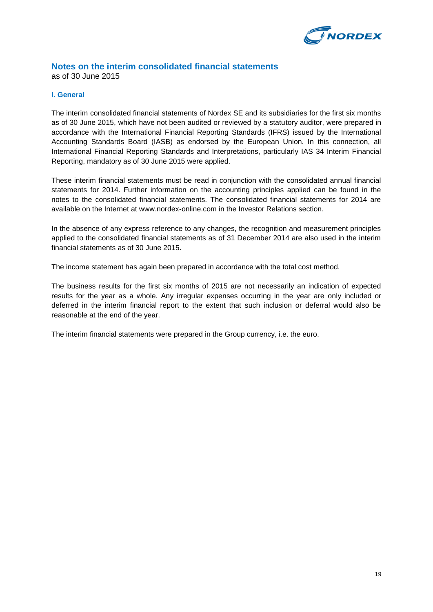

#### **Notes on the interim consolidated financial statements** as of 30 June 2015

#### **I. General**

The interim consolidated financial statements of Nordex SE and its subsidiaries for the first six months as of 30 June 2015, which have not been audited or reviewed by a statutory auditor, were prepared in accordance with the International Financial Reporting Standards (IFRS) issued by the International Accounting Standards Board (IASB) as endorsed by the European Union. In this connection, all International Financial Reporting Standards and Interpretations, particularly IAS 34 Interim Financial Reporting, mandatory as of 30 June 2015 were applied.

These interim financial statements must be read in conjunction with the consolidated annual financial statements for 2014. Further information on the accounting principles applied can be found in the notes to the consolidated financial statements. The consolidated financial statements for 2014 are available on the Internet at www.nordex-online.com in the Investor Relations section.

In the absence of any express reference to any changes, the recognition and measurement principles applied to the consolidated financial statements as of 31 December 2014 are also used in the interim financial statements as of 30 June 2015.

The income statement has again been prepared in accordance with the total cost method.

The business results for the first six months of 2015 are not necessarily an indication of expected results for the year as a whole. Any irregular expenses occurring in the year are only included or deferred in the interim financial report to the extent that such inclusion or deferral would also be reasonable at the end of the year.

The interim financial statements were prepared in the Group currency, i.e. the euro.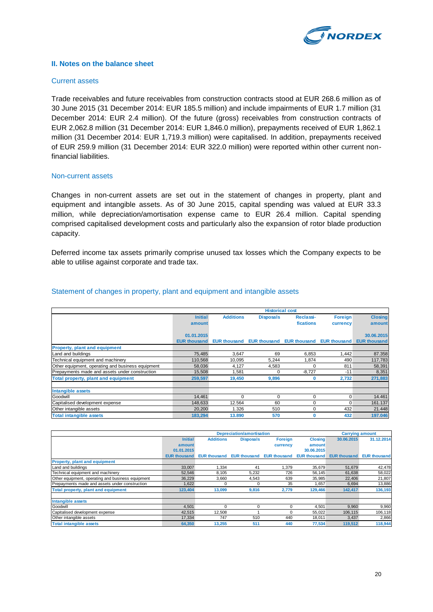

#### **II. Notes on the balance sheet**

#### Current assets

Trade receivables and future receivables from construction contracts stood at EUR 268.6 million as of 30 June 2015 (31 December 2014: EUR 185.5 million) and include impairments of EUR 1.7 million (31 December 2014: EUR 2.4 million). Of the future (gross) receivables from construction contracts of EUR 2,062.8 million (31 December 2014: EUR 1,846.0 million), prepayments received of EUR 1,862.1 million (31 December 2014: EUR 1,719.3 million) were capitalised. In addition, prepayments received of EUR 259.9 million (31 December 2014: EUR 322.0 million) were reported within other current nonfinancial liabilities.

#### Non-current assets

Changes in non-current assets are set out in the statement of changes in property, plant and equipment and intangible assets. As of 30 June 2015, capital spending was valued at EUR 33.3 million, while depreciation/amortisation expense came to EUR 26.4 million. Capital spending comprised capitalised development costs and particularly also the expansion of rotor blade production capacity.

Deferred income tax assets primarily comprise unused tax losses which the Company expects to be able to utilise against corporate and trade tax.

|                                                   |                     | <b>Historical cost</b> |                     |                     |                     |                     |
|---------------------------------------------------|---------------------|------------------------|---------------------|---------------------|---------------------|---------------------|
|                                                   | <b>Initial</b>      | <b>Additions</b>       | <b>Disposals</b>    | Reclassi-           | Foreign             | <b>Closing</b>      |
|                                                   | amount              |                        |                     | fications           | currency            | amount              |
|                                                   | 01.01.2015          |                        |                     |                     |                     | 30.06.2015          |
|                                                   | <b>EUR thousand</b> | <b>EUR thousand</b>    | <b>EUR thousand</b> | <b>EUR thousand</b> | <b>EUR thousand</b> | <b>EUR thousand</b> |
| <b>Property, plant and equipment</b>              |                     |                        |                     |                     |                     |                     |
| Land and buildings                                | 75,485              | 3,647                  | 69                  | 6,853               | 1,442               | 87.358              |
| Technical equipment and machinery                 | 110,568             | 10,095                 | 5.244               | 1,874               | 490                 | 117,783             |
| Other equipment, operating and business equipment | 58,036              | 4,127                  | 4,583               | $\Omega$            | 811                 | 58,391              |
| Prepayments made and assets under construction    | 15,508              | 1,581                  | $\Omega$            | $-8,727$            | $-11$               | 8,351               |
| Total property, plant and equipment               | 259,597             | 19,450                 | 9,896               | 0                   | 2,732               | 271,883             |
| <b>Intangible assets</b>                          |                     |                        |                     |                     |                     |                     |
| Goodwill                                          | 14.461              | $\Omega$               | 0                   | $\Omega$            | 0                   | 14.461              |
| Capitalised development expense                   | 148,633             | 12.564                 | 60                  | $\Omega$            | $\Omega$            | 161.137             |
| Other intangible assets                           | 20,200              | 1.326                  | 510                 | $\Omega$            | 432                 | 21.448              |
| <b>Total intangible assets</b>                    | 183.294             | 13,890                 | 570                 | 0                   | 432                 | 197.046             |

#### Statement of changes in property, plant and equipment and intangible assets

|                                                   |                     |                     | <b>Depreciation/amortisation</b> |                     |                     | <b>Carrying amount</b> |                     |
|---------------------------------------------------|---------------------|---------------------|----------------------------------|---------------------|---------------------|------------------------|---------------------|
|                                                   | <b>Initial</b>      | <b>Additions</b>    | <b>Disposals</b>                 | Foreign             | <b>Closing</b>      | 30.06.2015             | 31.12.2014          |
|                                                   | amount              |                     |                                  | currency            | amount              |                        |                     |
|                                                   | 01.01.2015          |                     |                                  |                     | 30.06.2015          |                        |                     |
|                                                   | <b>EUR thousand</b> | <b>EUR thousand</b> | <b>EUR thousand</b>              | <b>EUR thousand</b> | <b>EUR thousand</b> | <b>EUR thousand</b>    | <b>EUR thousand</b> |
| <b>Property, plant and equipment</b>              |                     |                     |                                  |                     |                     |                        |                     |
| Land and buildings                                | 33,007              | 1,334               | 41                               | ,379                | 35,679              | 51,679                 | 42,478              |
| Technical equipment and machinery                 | 52,546              | 8,105               | 5,232                            | 726                 | 56,145              | 61,638                 | 58,022              |
| Other equipment, operating and business equipment | 36,229              | 3,660               | 4,543                            | 639                 | 35,985              | 22,406                 | 21,807              |
| Prepayments made and assets under construction    | 1,622               |                     |                                  | 35                  | 1,657               | 6,694                  | 13,886              |
| Total property, plant and equipment               | 123,404             | 13,099              | 9,816                            | 2,779               | 129,466             | 142,417                | 136,193             |
|                                                   |                     |                     |                                  |                     |                     |                        |                     |
| Intangible assets                                 |                     |                     |                                  |                     |                     |                        |                     |
| Goodwill                                          | 4,501               | U                   |                                  | O                   | 4,501               | 9,960                  | 9,960               |
| Capitalised development expense                   | 42,515              | 12,508              |                                  | 0                   | 55,022              | 106.115                | 106,118             |
| Other intangible assets                           | 17,334              | 747                 | 510                              | 440                 | 18,011              | 3,437                  | 2,866               |
| <b>Total intangible assets</b>                    | 64.350              | 13.255              | 511                              | 440                 | 77.534              | 119.512                | 118,944             |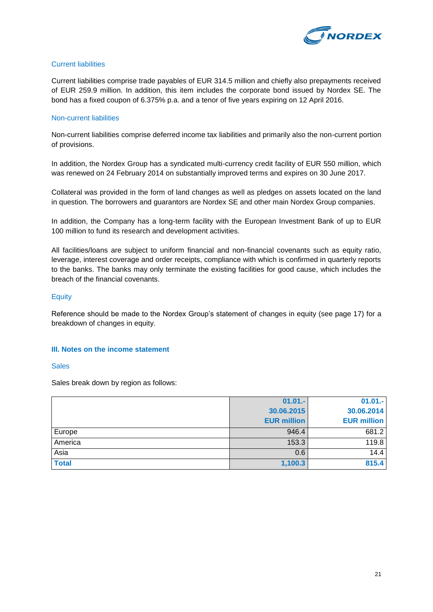

#### Current liabilities

Current liabilities comprise trade payables of EUR 314.5 million and chiefly also prepayments received of EUR 259.9 million. In addition, this item includes the corporate bond issued by Nordex SE. The bond has a fixed coupon of 6.375% p.a. and a tenor of five years expiring on 12 April 2016.

#### Non-current liabilities

Non-current liabilities comprise deferred income tax liabilities and primarily also the non-current portion of provisions.

In addition, the Nordex Group has a syndicated multi-currency credit facility of EUR 550 million, which was renewed on 24 February 2014 on substantially improved terms and expires on 30 June 2017.

Collateral was provided in the form of land changes as well as pledges on assets located on the land in question. The borrowers and guarantors are Nordex SE and other main Nordex Group companies.

In addition, the Company has a long-term facility with the European Investment Bank of up to EUR 100 million to fund its research and development activities.

All facilities/loans are subject to uniform financial and non-financial covenants such as equity ratio, leverage, interest coverage and order receipts, compliance with which is confirmed in quarterly reports to the banks. The banks may only terminate the existing facilities for good cause, which includes the breach of the financial covenants.

#### **Equity**

Reference should be made to the Nordex Group's statement of changes in equity (see page 17) for a breakdown of changes in equity.

#### **III. Notes on the income statement**

#### **Sales**

Sales break down by region as follows:

|              | $01.01 -$          | $01.01 -$          |
|--------------|--------------------|--------------------|
|              | 30.06.2015         | 30.06.2014         |
|              | <b>EUR million</b> | <b>EUR million</b> |
| Europe       | 946.4              | 681.2              |
| America      | 153.3              | 119.8              |
| Asia         | 0.6                | 14.4               |
| <b>Total</b> | 1,100.3            | 815.4              |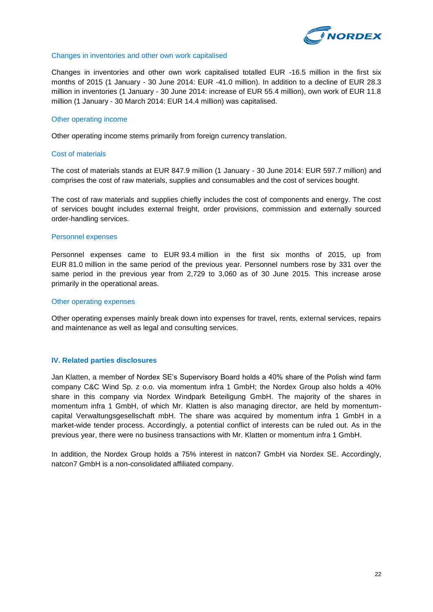

#### Changes in inventories and other own work capitalised

Changes in inventories and other own work capitalised totalled EUR -16.5 million in the first six months of 2015 (1 January - 30 June 2014: EUR -41.0 million). In addition to a decline of EUR 28.3 million in inventories (1 January - 30 June 2014: increase of EUR 55.4 million), own work of EUR 11.8 million (1 January - 30 March 2014: EUR 14.4 million) was capitalised.

#### Other operating income

Other operating income stems primarily from foreign currency translation.

#### Cost of materials

The cost of materials stands at EUR 847.9 million (1 January - 30 June 2014: EUR 597.7 million) and comprises the cost of raw materials, supplies and consumables and the cost of services bought.

The cost of raw materials and supplies chiefly includes the cost of components and energy. The cost of services bought includes external freight, order provisions, commission and externally sourced order-handling services.

#### Personnel expenses

Personnel expenses came to EUR 93.4 million in the first six months of 2015, up from EUR 81.0 million in the same period of the previous year. Personnel numbers rose by 331 over the same period in the previous year from 2,729 to 3,060 as of 30 June 2015. This increase arose primarily in the operational areas.

#### Other operating expenses

Other operating expenses mainly break down into expenses for travel, rents, external services, repairs and maintenance as well as legal and consulting services.

#### **IV. Related parties disclosures**

Jan Klatten, a member of Nordex SE's Supervisory Board holds a 40% share of the Polish wind farm company C&C Wind Sp. z o.o. via momentum infra 1 GmbH; the Nordex Group also holds a 40% share in this company via Nordex Windpark Beteiligung GmbH. The majority of the shares in momentum infra 1 GmbH, of which Mr. Klatten is also managing director, are held by momentumcapital Verwaltungsgesellschaft mbH. The share was acquired by momentum infra 1 GmbH in a market-wide tender process. Accordingly, a potential conflict of interests can be ruled out. As in the previous year, there were no business transactions with Mr. Klatten or momentum infra 1 GmbH.

In addition, the Nordex Group holds a 75% interest in natcon7 GmbH via Nordex SE. Accordingly, natcon7 GmbH is a non-consolidated affiliated company.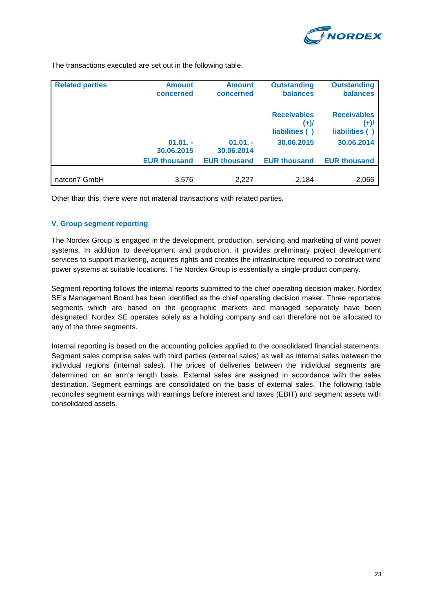

The transactions executed are set out in the following table.

| <b>Related parties</b> | <b>Amount</b><br>concerned | <b>Amount</b><br>concerned | <b>Outstanding</b><br>balances                  | <b>Outstanding</b><br><b>balances</b>              |
|------------------------|----------------------------|----------------------------|-------------------------------------------------|----------------------------------------------------|
|                        |                            |                            | <b>Receivables</b><br>(+)/<br>liabilities $(-)$ | <b>Receivables</b><br>$(+)$ /<br>liabilities $(-)$ |
|                        | $01.01. -$<br>30.06.2015   | $01.01. -$<br>30.06.2014   | 30.06.2015                                      | 30.06.2014                                         |
|                        | <b>EUR thousand</b>        | <b>EUR thousand</b>        | <b>EUR thousand</b>                             | <b>EUR thousand</b>                                |
| natcon7 GmbH           | 3,576                      | 2,227                      | $-2,184$                                        | $-2,066$                                           |

Other than this, there were not material transactions with related parties.

### **V. Group segment reporting**

The Nordex Group is engaged in the development, production, servicing and marketing of wind power systems. In addition to development and production, it provides preliminary project development services to support marketing, acquires rights and creates the infrastructure required to construct wind power systems at suitable locations. The Nordex Group is essentially a single-product company.

Segment reporting follows the internal reports submitted to the chief operating decision maker. Nordex SE's Management Board has been identified as the chief operating decision maker. Three reportable segments which are based on the geographic markets and managed separately have been designated. Nordex SE operates solely as a holding company and can therefore not be allocated to any of the three segments.

Internal reporting is based on the accounting policies applied to the consolidated financial statements. Segment sales comprise sales with third parties (external sales) as well as internal sales between the individual regions (internal sales). The prices of deliveries between the individual segments are determined on an arm's length basis. External sales are assigned in accordance with the sales destination. Segment earnings are consolidated on the basis of external sales. The following table reconciles segment earnings with earnings before interest and taxes (EBIT) and segment assets with consolidated assets.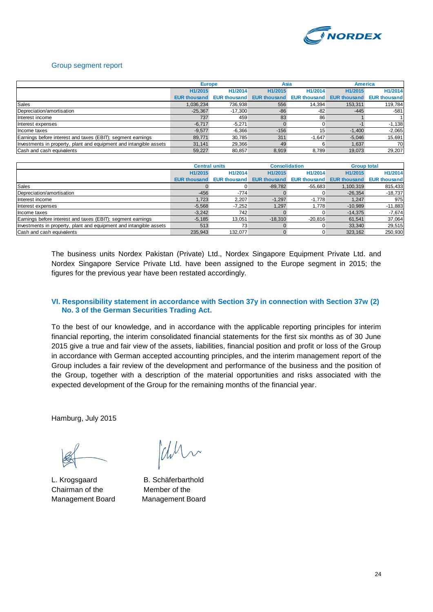

#### Group segment report

|                                                                    | <b>Europe</b>       |                     | Asia                |                     | <b>America</b> |                                  |
|--------------------------------------------------------------------|---------------------|---------------------|---------------------|---------------------|----------------|----------------------------------|
|                                                                    | H1/2015             | H1/2014             | H1/2015             | H1/2014             | H1/2015        | H1/2014                          |
|                                                                    | <b>EUR thousand</b> | <b>EUR thousand</b> | <b>EUR thousand</b> | <b>EUR thousand</b> |                | <b>EUR thousand EUR thousand</b> |
| Sales                                                              | 1.036.234           | 736,938             | 556                 | 14.394              | 153,311        | 119,784                          |
| Depreciation/amortisation                                          | $-25.367$           | $-17.300$           | $-86$               | -82                 | $-445$         | $-581$                           |
| Interest income                                                    | 737                 | 459                 | 83                  | 86                  |                |                                  |
| Interest expenses                                                  | $-6.717$            | $-5,271$            |                     |                     |                | $-1,138$                         |
| Income taxes                                                       | $-9.577$            | $-6,366$            | $-156$              | 15                  | $-1.400$       | $-2,065$                         |
| Earnings before interest and taxes (EBIT); segment earnings        | 89.771              | 30.785              | 311                 | $-1.647$            | $-5.046$       | 15,691                           |
| Investments in property, plant and equipment and intangible assets | 31.141              | 29,366              | 49                  |                     | 1,637          | 70                               |
| Cash and cash equivalents                                          | 59.227              | 80,857              | 8,919               | 8.789               | 19.073         | 29,207                           |

|                                                                    | <b>Central units</b> |                     | <b>Consolidation</b> |                     | <b>Group total</b>  |                     |
|--------------------------------------------------------------------|----------------------|---------------------|----------------------|---------------------|---------------------|---------------------|
|                                                                    | H1/2015              | H1/2014             | H1/2015              | H1/2014             | H1/2015             | H1/2014             |
|                                                                    | <b>EUR thousand</b>  | <b>EUR thousand</b> | <b>EUR thousand</b>  | <b>EUR thousand</b> | <b>EUR thousand</b> | <b>EUR thousand</b> |
| Sales                                                              |                      |                     | $-89.782$            | $-55.683$           | 1.100.319           | 815,433             |
| Depreciation/amortisation                                          | $-456$               | $-774$              |                      |                     | $-26.354$           | $-18,737$           |
| Interest income                                                    | 1,723                | 2.207               | $-1.297$             | $-1.778$            | 1.247               | 975                 |
| Interest expenses                                                  | $-5.568$             | $-7,252$            | 1,297                | 1.778               | $-10.989$           | $-11,883$           |
| Income taxes                                                       | $-3,242$             | 742                 |                      |                     | $-14,375$           | $-7,674$            |
| Earnings before interest and taxes (EBIT); segment earnings        | $-5.185$             | 13.051              | $-18.310$            | $-20.816$           | 61.541              | 37,064              |
| Investments in property, plant and equipment and intangible assets | 513                  | 73 <sub>1</sub>     |                      |                     | 33.340              | 29,515              |
| Cash and cash equivalents                                          | 235,943              | 132,077             |                      |                     | 323,162             | 250,930             |

The business units Nordex Pakistan (Private) Ltd., Nordex Singapore Equipment Private Ltd. and Nordex Singapore Service Private Ltd. have been assigned to the Europe segment in 2015; the figures for the previous year have been restated accordingly.

#### **VI. Responsibility statement in accordance with Section 37y in connection with Section 37w (2) No. 3 of the German Securities Trading Act.**

To the best of our knowledge, and in accordance with the applicable reporting principles for interim financial reporting, the interim consolidated financial statements for the first six months as of 30 June 2015 give a true and fair view of the assets, liabilities, financial position and profit or loss of the Group in accordance with German accepted accounting principles, and the interim management report of the Group includes a fair review of the development and performance of the business and the position of the Group, together with a description of the material opportunities and risks associated with the expected development of the Group for the remaining months of the financial year.

Hamburg, July 2015

Chairman of the Member of the Management Board Management Board

Whi

L. Krogsgaard B. Schäferbarthold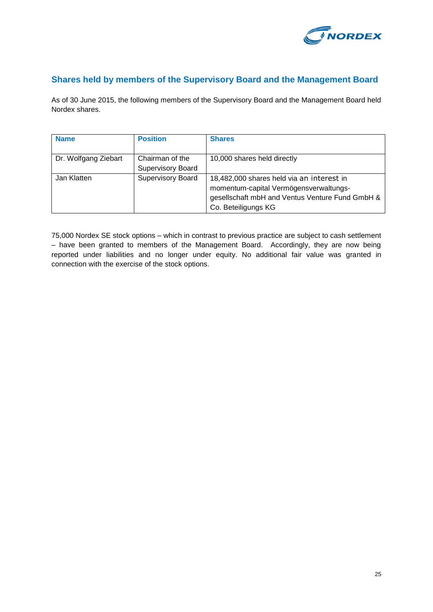

# **Shares held by members of the Supervisory Board and the Management Board**

As of 30 June 2015, the following members of the Supervisory Board and the Management Board held Nordex shares.

| <b>Name</b>          | <b>Position</b>                             | <b>Shares</b>                                                                                                                                                 |
|----------------------|---------------------------------------------|---------------------------------------------------------------------------------------------------------------------------------------------------------------|
| Dr. Wolfgang Ziebart | Chairman of the<br><b>Supervisory Board</b> | 10,000 shares held directly                                                                                                                                   |
| Jan Klatten          | <b>Supervisory Board</b>                    | 18,482,000 shares held via an interest in<br>momentum-capital Vermögensverwaltungs-<br>gesellschaft mbH and Ventus Venture Fund GmbH &<br>Co. Beteiligungs KG |

75,000 Nordex SE stock options – which in contrast to previous practice are subject to cash settlement – have been granted to members of the Management Board. Accordingly, they are now being reported under liabilities and no longer under equity. No additional fair value was granted in connection with the exercise of the stock options.